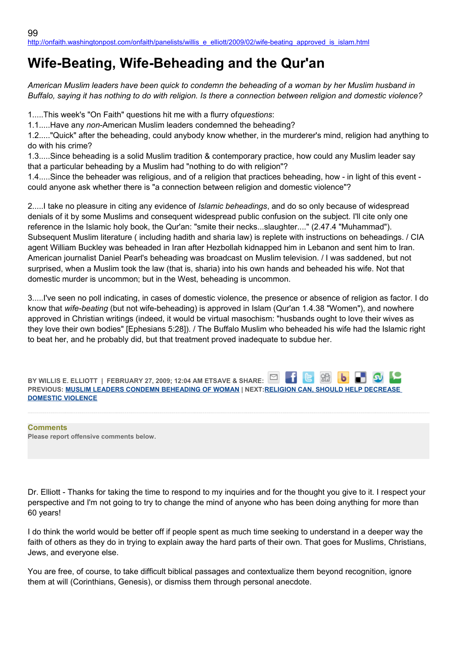# **Wife-Beating, Wife-Beheading and the Qur'an**

*American Muslim leaders have been quick to condemn the beheading of a woman by her Muslim husband in Buffalo, saying it has nothing to do with religion. Is there a connection between religion and domestic violence?*

1.....This week's "On Faith" questions hit me with a flurry of*questions*:

1.1.....Have any *non*-American Muslim leaders condemned the beheading?

1.2....."Quick" after the beheading, could anybody know whether, in the murderer's mind, religion had anything to do with his crime?

1.3.....Since beheading is a solid Muslim tradition & contemporary practice, how could any Muslim leader say that a particular beheading by a Muslim had "nothing to do with religion"?

1.4.....Since the beheader was religious, and of a religion that practices beheading, how - in light of this event could anyone ask whether there is "a connection between religion and domestic violence"?

2.....I take no pleasure in citing any evidence of *Islamic beheadings*, and do so only because of widespread denials of it by some Muslims and consequent widespread public confusion on the subject. I'll cite only one reference in the Islamic holy book, the Qur'an: "smite their necks...slaughter...." (2.47.4 "Muhammad"). Subsequent Muslim literature ( including hadith and sharia law) is replete with instructions on beheadings. / CIA agent William Buckley was beheaded in Iran after Hezbollah kidnapped him in Lebanon and sent him to Iran. American journalist Daniel Pearl's beheading was broadcast on Muslim television. / I was saddened, but not surprised, when a Muslim took the law (that is, sharia) into his own hands and beheaded his wife. Not that domestic murder is uncommon; but in the West, beheading is uncommon.

3.....I've seen no poll indicating, in cases of domestic violence, the presence or absence of religion as factor. I do know that *wife-beating* (but not wife-beheading) is approved in Islam (Qur'an 1.4.38 "Women"), and nowhere approved in Christian writings (indeed, it would be virtual masochism: "husbands ought to love their wives as they love their own bodies" [Ephesians 5:28]). / The Buffalo Muslim who beheaded his wife had the Islamic right to beat her, and he probably did, but that treatment proved inadequate to subdue her.

⊡ **BY WILLIS E. ELLIOTT | FEBRUARY 27, 2009; 12:04 AM ETSAVE & SHARE: PREVIOUS: [MUSLIM LEADERS CONDEMN BEHEADING OF WOMAN](http://onfaith.washingtonpost.com/onfaith/panelists/john_shelby_spong/2009/02/muslim_leaders_condemn_beheadi.html) | NEXT[:RELIGION CAN, SHOULD HELP DECREASE](http://onfaith.washingtonpost.com/onfaith/panelists/kenneth_e_bowers/2009/02/religion_can_and_should_play_a.html)  [DOMESTIC VIOLENCE](http://onfaith.washingtonpost.com/onfaith/panelists/kenneth_e_bowers/2009/02/religion_can_and_should_play_a.html)**

**Comments Please report offensive comments below.**

Dr. Elliott - Thanks for taking the time to respond to my inquiries and for the thought you give to it. I respect your perspective and I'm not going to try to change the mind of anyone who has been doing anything for more than 60 years!

I do think the world would be better off if people spent as much time seeking to understand in a deeper way the faith of others as they do in trying to explain away the hard parts of their own. That goes for Muslims, Christians, Jews, and everyone else.

You are free, of course, to take difficult biblical passages and contextualize them beyond recognition, ignore them at will (Corinthians, Genesis), or dismiss them through personal anecdote.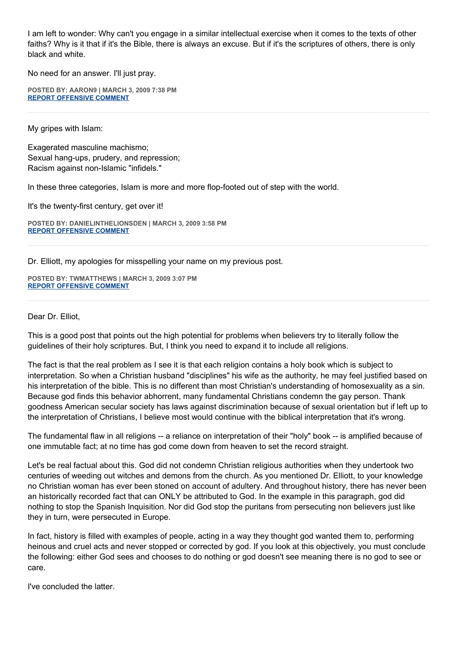I am left to wonder: Why can't you engage in a similar intellectual exercise when it comes to the texts of other faiths? Why is it that if it's the Bible, there is always an excuse. But if it's the scriptures of others, there is only black and white.

No need for an answer. I'll just pray.

**POSTED BY: AARON9 | MARCH 3, 2009 7:38 PM [REPORT OFFENSIVE COMMENT](mailto:blogs@washingtonpost.com?subject=On%20Faith%20Panelists%20Blog%20%20%7C%20%20aaron9%20%20%7C%20%20Wife-Beating,%20Wife-Beheading%20and%20the%20Qur)**

My gripes with Islam:

Exagerated masculine machismo; Sexual hang-ups, prudery, and repression; Racism against non-Islamic "infidels."

In these three categories, Islam is more and more flop-footed out of step with the world.

It's the twenty-first century, get over it!

**POSTED BY: DANIELINTHELIONSDEN | MARCH 3, 2009 3:58 PM [REPORT OFFENSIVE COMMENT](mailto:blogs@washingtonpost.com?subject=On%20Faith%20Panelists%20Blog%20%20%7C%20%20DanielintheLionsDen%20%20%7C%20%20Wife-Beating,%20Wife-Beheading%20and%20the%20Qur)**

Dr. Elliott, my apologies for misspelling your name on my previous post.

**POSTED BY: TWMATTHEWS | MARCH 3, 2009 3:07 PM [REPORT OFFENSIVE COMMENT](mailto:blogs@washingtonpost.com?subject=On%20Faith%20Panelists%20Blog%20%20%7C%20%20twmatthews%20%20%7C%20%20Wife-Beating,%20Wife-Beheading%20and%20the%20Qur)**

### Dear Dr. Elliot,

This is a good post that points out the high potential for problems when believers try to literally follow the guidelines of their holy scriptures. But, I think you need to expand it to include all religions.

The fact is that the real problem as I see it is that each religion contains a holy book which is subject to interpretation. So when a Christian husband "disciplines" his wife as the authority, he may feel justified based on his interpretation of the bible. This is no different than most Christian's understanding of homosexuality as a sin. Because god finds this behavior abhorrent, many fundamental Christians condemn the gay person. Thank goodness American secular society has laws against discrimination because of sexual orientation but if left up to the interpretation of Christians, I believe most would continue with the biblical interpretation that it's wrong.

The fundamental flaw in all religions -- a reliance on interpretation of their "holy" book -- is amplified because of one immutable fact; at no time has god come down from heaven to set the record straight.

Let's be real factual about this. God did not condemn Christian religious authorities when they undertook two centuries of weeding out witches and demons from the church. As you mentioned Dr. Elliott, to your knowledge no Christian woman has ever been stoned on account of adultery. And throughout history, there has never been an historically recorded fact that can ONLY be attributed to God. In the example in this paragraph, god did nothing to stop the Spanish Inquisition. Nor did God stop the puritans from persecuting non believers just like they in turn, were persecuted in Europe.

In fact, history is filled with examples of people, acting in a way they thought god wanted them to, performing heinous and cruel acts and never stopped or corrected by god. If you look at this objectively, you must conclude the following: either God sees and chooses to do nothing or god doesn't see meaning there is no god to see or care.

I've concluded the latter.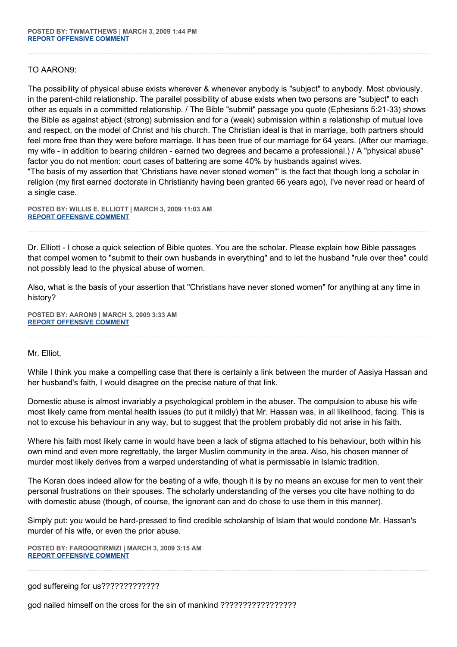## TO AARON9:

The possibility of physical abuse exists wherever & whenever anybody is "subject" to anybody. Most obviously, in the parent-child relationship. The parallel possibility of abuse exists when two persons are "subject" to each other as equals in a committed relationship. / The Bible "submit" passage you quote (Ephesians 5:21-33) shows the Bible as against abject (strong) submission and for a (weak) submission within a relationship of mutual love and respect, on the model of Christ and his church. The Christian ideal is that in marriage, both partners should feel more free than they were before marriage. It has been true of our marriage for 64 years. (After our marriage, my wife - in addition to bearing children - earned two degrees and became a professional.) / A "physical abuse" factor you do not mention: court cases of battering are some 40% by husbands against wives. "The basis of my assertion that 'Christians have never stoned women'" is the fact that though long a scholar in

religion (my first earned doctorate in Christianity having been granted 66 years ago), I've never read or heard of a single case.

**POSTED BY: WILLIS E. ELLIOTT | MARCH 3, 2009 11:03 AM [REPORT OFFENSIVE COMMENT](mailto:blogs@washingtonpost.com?subject=On%20Faith%20Panelists%20Blog%20%20%7C%20%20Willis%20E.%20Elliott%20%20%7C%20%20Wife-Beating,%20Wife-Beheading%20and%20the%20Qur)**

Dr. Elliott - I chose a quick selection of Bible quotes. You are the scholar. Please explain how Bible passages that compel women to "submit to their own husbands in everything" and to let the husband "rule over thee" could not possibly lead to the physical abuse of women.

Also, what is the basis of your assertion that "Christians have never stoned women" for anything at any time in history?

**POSTED BY: AARON9 | MARCH 3, 2009 3:33 AM [REPORT OFFENSIVE COMMENT](mailto:blogs@washingtonpost.com?subject=On%20Faith%20Panelists%20Blog%20%20%7C%20%20aaron9%20%20%7C%20%20Wife-Beating,%20Wife-Beheading%20and%20the%20Qur)**

### Mr. Elliot,

While I think you make a compelling case that there is certainly a link between the murder of Aasiya Hassan and her husband's faith, I would disagree on the precise nature of that link.

Domestic abuse is almost invariably a psychological problem in the abuser. The compulsion to abuse his wife most likely came from mental health issues (to put it mildly) that Mr. Hassan was, in all likelihood, facing. This is not to excuse his behaviour in any way, but to suggest that the problem probably did not arise in his faith.

Where his faith most likely came in would have been a lack of stigma attached to his behaviour, both within his own mind and even more regrettably, the larger Muslim community in the area. Also, his chosen manner of murder most likely derives from a warped understanding of what is permissable in Islamic tradition.

The Koran does indeed allow for the beating of a wife, though it is by no means an excuse for men to vent their personal frustrations on their spouses. The scholarly understanding of the verses you cite have nothing to do with domestic abuse (though, of course, the ignorant can and do chose to use them in this manner).

Simply put: you would be hard-pressed to find credible scholarship of Islam that would condone Mr. Hassan's murder of his wife, or even the prior abuse.

**POSTED BY: FAROOQTIRMIZI | MARCH 3, 2009 3:15 AM [REPORT OFFENSIVE COMMENT](mailto:blogs@washingtonpost.com?subject=On%20Faith%20Panelists%20Blog%20%20%7C%20%20FarooqTirmizi%20%20%7C%20%20Wife-Beating,%20Wife-Beheading%20and%20the%20Qur)**

god suffereing for us?????????????

god nailed himself on the cross for the sin of mankind ?????????????????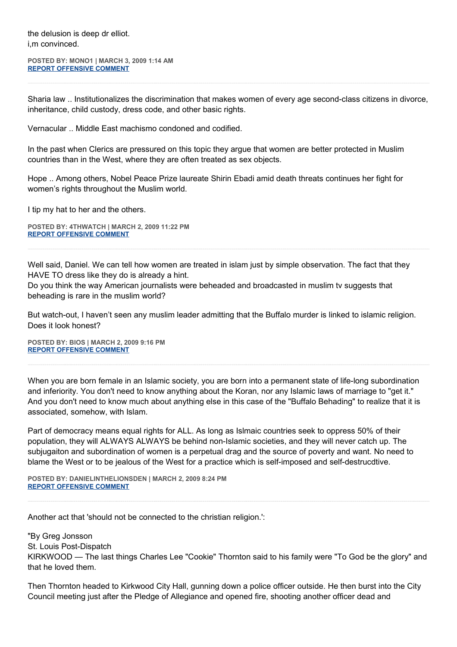the delusion is deep dr elliot. i,m convinced.

**POSTED BY: MONO1 | MARCH 3, 2009 1:14 AM [REPORT OFFENSIVE COMMENT](mailto:blogs@washingtonpost.com?subject=On%20Faith%20Panelists%20Blog%20%20%7C%20%20mono1%20%20%7C%20%20Wife-Beating,%20Wife-Beheading%20and%20the%20Qur)**

Sharia law .. Institutionalizes the discrimination that makes women of every age second-class citizens in divorce, inheritance, child custody, dress code, and other basic rights.

Vernacular .. Middle East machismo condoned and codified.

In the past when Clerics are pressured on this topic they argue that women are better protected in Muslim countries than in the West, where they are often treated as sex objects.

Hope .. Among others, Nobel Peace Prize laureate Shirin Ebadi amid death threats continues her fight for women's rights throughout the Muslim world.

I tip my hat to her and the others.

**POSTED BY: 4THWATCH | MARCH 2, 2009 11:22 PM [REPORT OFFENSIVE COMMENT](mailto:blogs@washingtonpost.com?subject=On%20Faith%20Panelists%20Blog%20%20%7C%20%204thwatch%20%20%7C%20%20Wife-Beating,%20Wife-Beheading%20and%20the%20Qur)**

Well said, Daniel. We can tell how women are treated in islam just by simple observation. The fact that they HAVE TO dress like they do is already a hint.

Do you think the way American journalists were beheaded and broadcasted in muslim tv suggests that beheading is rare in the muslim world?

But watch-out, I haven't seen any muslim leader admitting that the Buffalo murder is linked to islamic religion. Does it look honest?

**POSTED BY: BIOS | MARCH 2, 2009 9:16 PM [REPORT OFFENSIVE COMMENT](mailto:blogs@washingtonpost.com?subject=On%20Faith%20Panelists%20Blog%20%20%7C%20%20Bios%20%20%7C%20%20Wife-Beating,%20Wife-Beheading%20and%20the%20Qur)**

When you are born female in an Islamic society, you are born into a permanent state of life-long subordination and inferiority. You don't need to know anything about the Koran, nor any Islamic laws of marriage to "get it." And you don't need to know much about anything else in this case of the "Buffalo Behading" to realize that it is associated, somehow, with Islam.

Part of democracy means equal rights for ALL. As long as Islmaic countries seek to oppress 50% of their population, they will ALWAYS ALWAYS be behind non-Islamic societies, and they will never catch up. The subjugaiton and subordination of women is a perpetual drag and the source of poverty and want. No need to blame the West or to be jealous of the West for a practice which is self-imposed and self-destrucdtive.

**POSTED BY: DANIELINTHELIONSDEN | MARCH 2, 2009 8:24 PM [REPORT OFFENSIVE COMMENT](mailto:blogs@washingtonpost.com?subject=On%20Faith%20Panelists%20Blog%20%20%7C%20%20DanielintheLionsDen%20%20%7C%20%20Wife-Beating,%20Wife-Beheading%20and%20the%20Qur)**

Another act that 'should not be connected to the christian religion.':

"By Greg Jonsson St. Louis Post-Dispatch KIRKWOOD — The last things Charles Lee "Cookie" Thornton said to his family were "To God be the glory" and that he loved them.

Then Thornton headed to Kirkwood City Hall, gunning down a police officer outside. He then burst into the City Council meeting just after the Pledge of Allegiance and opened fire, shooting another officer dead and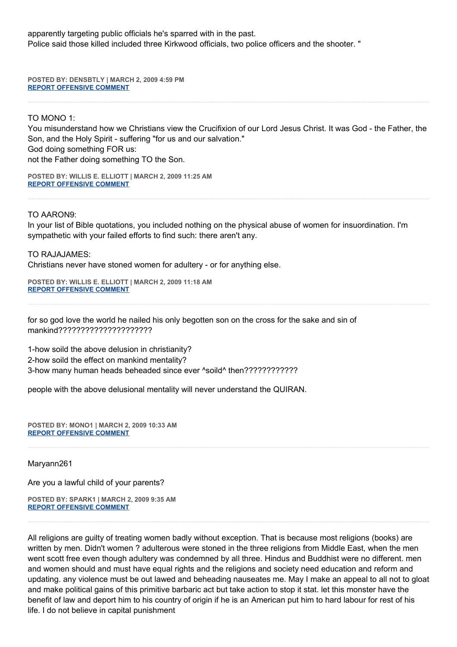apparently targeting public officials he's sparred with in the past. Police said those killed included three Kirkwood officials, two police officers and the shooter. "

**POSTED BY: DENSBTLY | MARCH 2, 2009 4:59 PM [REPORT OFFENSIVE COMMENT](mailto:blogs@washingtonpost.com?subject=On%20Faith%20Panelists%20Blog%20%20%7C%20%20densbtly%20%20%7C%20%20Wife-Beating,%20Wife-Beheading%20and%20the%20Qur)**

TO MONO 1:

You misunderstand how we Christians view the Crucifixion of our Lord Jesus Christ. It was God - the Father, the Son, and the Holy Spirit - suffering "for us and our salvation." God doing something FOR us: not the Father doing something TO the Son.

**POSTED BY: WILLIS E. ELLIOTT | MARCH 2, 2009 11:25 AM [REPORT OFFENSIVE COMMENT](mailto:blogs@washingtonpost.com?subject=On%20Faith%20Panelists%20Blog%20%20%7C%20%20Willis%20E.%20Elliott%20%20%7C%20%20Wife-Beating,%20Wife-Beheading%20and%20the%20Qur)**

TO AARON9:

In your list of Bible quotations, you included nothing on the physical abuse of women for insuordination. I'm sympathetic with your failed efforts to find such: there aren't any.

TO RAJAJAMES: Christians never have stoned women for adultery - or for anything else.

**POSTED BY: WILLIS E. ELLIOTT | MARCH 2, 2009 11:18 AM [REPORT OFFENSIVE COMMENT](mailto:blogs@washingtonpost.com?subject=On%20Faith%20Panelists%20Blog%20%20%7C%20%20Willis%20E.%20Elliott%20%20%7C%20%20Wife-Beating,%20Wife-Beheading%20and%20the%20Qur)**

for so god love the world he nailed his only begotten son on the cross for the sake and sin of mankind?????????????????????

1-how soild the above delusion in christianity? 2-how soild the effect on mankind mentality? 3-how many human heads beheaded since ever ^soild^ then????????????

people with the above delusional mentality will never understand the QUIRAN.

**POSTED BY: MONO1 | MARCH 2, 2009 10:33 AM [REPORT OFFENSIVE COMMENT](mailto:blogs@washingtonpost.com?subject=On%20Faith%20Panelists%20Blog%20%20%7C%20%20mono1%20%20%7C%20%20Wife-Beating,%20Wife-Beheading%20and%20the%20Qur)**

Maryann261

Are you a lawful child of your parents?

**POSTED BY: SPARK1 | MARCH 2, 2009 9:35 AM [REPORT OFFENSIVE COMMENT](mailto:blogs@washingtonpost.com?subject=On%20Faith%20Panelists%20Blog%20%20%7C%20%20SPARK1%20%20%7C%20%20Wife-Beating,%20Wife-Beheading%20and%20the%20Qur)**

All religions are guilty of treating women badly without exception. That is because most religions (books) are written by men. Didn't women ? adulterous were stoned in the three religions from Middle East, when the men went scott free even though adultery was condemned by all three. Hindus and Buddhist were no different. men and women should and must have equal rights and the religions and society need education and reform and updating. any violence must be out lawed and beheading nauseates me. May I make an appeal to all not to gloat and make political gains of this primitive barbaric act but take action to stop it stat. let this monster have the benefit of law and deport him to his country of origin if he is an American put him to hard labour for rest of his life. I do not believe in capital punishment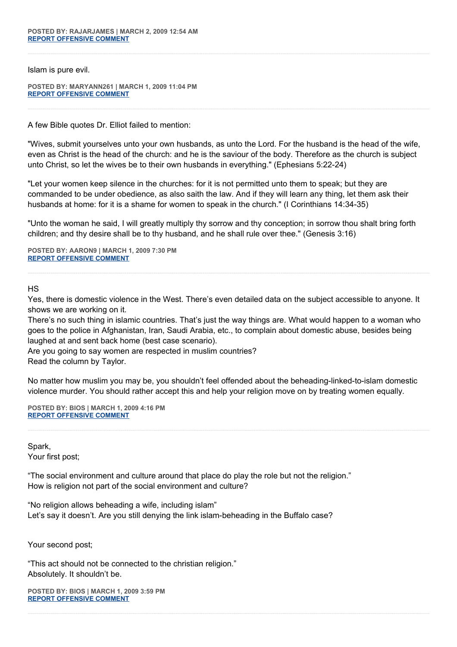Islam is pure evil.

**POSTED BY: MARYANN261 | MARCH 1, 2009 11:04 PM [REPORT OFFENSIVE COMMENT](mailto:blogs@washingtonpost.com?subject=On%20Faith%20Panelists%20Blog%20%20%7C%20%20Maryann261%20%20%7C%20%20Wife-Beating,%20Wife-Beheading%20and%20the%20Qur)**

A few Bible quotes Dr. Elliot failed to mention:

"Wives, submit yourselves unto your own husbands, as unto the Lord. For the husband is the head of the wife, even as Christ is the head of the church: and he is the saviour of the body. Therefore as the church is subject unto Christ, so let the wives be to their own husbands in everything." (Ephesians 5:22-24)

"Let your women keep silence in the churches: for it is not permitted unto them to speak; but they are commanded to be under obedience, as also saith the law. And if they will learn any thing, let them ask their husbands at home: for it is a shame for women to speak in the church." (I Corinthians 14:34-35)

"Unto the woman he said, I will greatly multiply thy sorrow and thy conception; in sorrow thou shalt bring forth children; and thy desire shall be to thy husband, and he shall rule over thee." (Genesis 3:16)

**POSTED BY: AARON9 | MARCH 1, 2009 7:30 PM [REPORT OFFENSIVE COMMENT](mailto:blogs@washingtonpost.com?subject=On%20Faith%20Panelists%20Blog%20%20%7C%20%20aaron9%20%20%7C%20%20Wife-Beating,%20Wife-Beheading%20and%20the%20Qur)**

## HS

Yes, there is domestic violence in the West. There's even detailed data on the subject accessible to anyone. It shows we are working on it.

There's no such thing in islamic countries. That's just the way things are. What would happen to a woman who goes to the police in Afghanistan, Iran, Saudi Arabia, etc., to complain about domestic abuse, besides being laughed at and sent back home (best case scenario).

Are you going to say women are respected in muslim countries? Read the column by Taylor.

No matter how muslim you may be, you shouldn't feel offended about the beheading-linked-to-islam domestic violence murder. You should rather accept this and help your religion move on by treating women equally.

**POSTED BY: BIOS | MARCH 1, 2009 4:16 PM [REPORT OFFENSIVE COMMENT](mailto:blogs@washingtonpost.com?subject=On%20Faith%20Panelists%20Blog%20%20%7C%20%20Bios%20%20%7C%20%20Wife-Beating,%20Wife-Beheading%20and%20the%20Qur)**

Spark, Your first post;

"The social environment and culture around that place do play the role but not the religion." How is religion not part of the social environment and culture?

"No religion allows beheading a wife, including islam" Let's say it doesn't. Are you still denying the link islam-beheading in the Buffalo case?

Your second post;

"This act should not be connected to the christian religion." Absolutely. It shouldn't be.

**POSTED BY: BIOS | MARCH 1, 2009 3:59 PM [REPORT OFFENSIVE COMMENT](mailto:blogs@washingtonpost.com?subject=On%20Faith%20Panelists%20Blog%20%20%7C%20%20Bios%20%20%7C%20%20Wife-Beating,%20Wife-Beheading%20and%20the%20Qur)**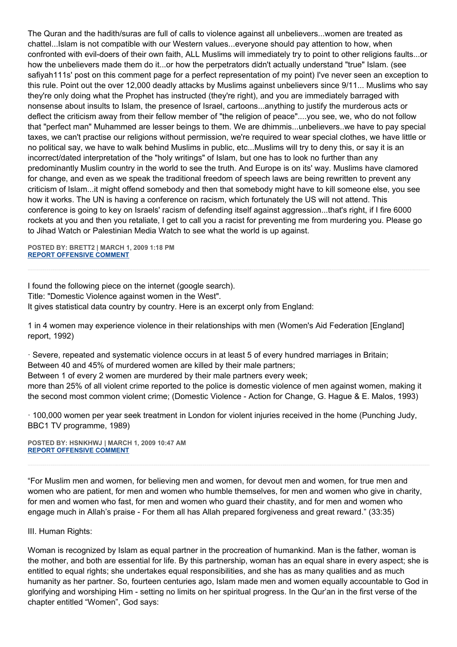The Quran and the hadith/suras are full of calls to violence against all unbelievers...women are treated as chattel...Islam is not compatible with our Western values...everyone should pay attention to how, when confronted with evil-doers of their own faith, ALL Muslims will immediately try to point to other religions faults...or how the unbelievers made them do it...or how the perpetrators didn't actually understand "true" Islam. (see safiyah111s' post on this comment page for a perfect representation of my point) I've never seen an exception to this rule. Point out the over 12,000 deadly attacks by Muslims against unbelievers since 9/11... Muslims who say they're only doing what the Prophet has instructed (they're right), and you are immediately barraged with nonsense about insults to Islam, the presence of Israel, cartoons...anything to justify the murderous acts or deflect the criticism away from their fellow member of "the religion of peace"....you see, we, who do not follow that "perfect man" Muhammed are lesser beings to them. We are dhimmis...unbelievers..we have to pay special taxes, we can't practise our religions without permission, we're required to wear special clothes, we have little or no political say, we have to walk behind Muslims in public, etc...Muslims will try to deny this, or say it is an incorrect/dated interpretation of the "holy writings" of Islam, but one has to look no further than any predominantly Muslim country in the world to see the truth. And Europe is on its' way. Muslims have clamored for change, and even as we speak the traditional freedom of speech laws are being rewritten to prevent any criticism of Islam...it might offend somebody and then that somebody might have to kill someone else, you see how it works. The UN is having a conference on racism, which fortunately the US will not attend. This conference is going to key on Israels' racism of defending itself against aggression...that's right, if I fire 6000 rockets at you and then you retaliate, I get to call you a racist for preventing me from murdering you. Please go to Jihad Watch or Palestinian Media Watch to see what the world is up against.

**POSTED BY: BRETT2 | MARCH 1, 2009 1:18 PM [REPORT OFFENSIVE COMMENT](mailto:blogs@washingtonpost.com?subject=On%20Faith%20Panelists%20Blog%20%20%7C%20%20brett2%20%20%7C%20%20Wife-Beating,%20Wife-Beheading%20and%20the%20Qur)**

I found the following piece on the internet (google search). Title: "Domestic Violence against women in the West". It gives statistical data country by country. Here is an excerpt only from England:

1 in 4 women may experience violence in their relationships with men (Women's Aid Federation [England] report, 1992)

· Severe, repeated and systematic violence occurs in at least 5 of every hundred marriages in Britain; Between 40 and 45% of murdered women are killed by their male partners; Between 1 of every 2 women are murdered by their male partners every week; more than 25% of all violent crime reported to the police is domestic violence of men against women, making it the second most common violent crime; (Domestic Violence - Action for Change, G. Hague & E. Malos, 1993)

· 100,000 women per year seek treatment in London for violent injuries received in the home (Punching Judy, BBC1 TV programme, 1989)

**POSTED BY: HSNKHWJ | MARCH 1, 2009 10:47 AM [REPORT OFFENSIVE COMMENT](mailto:blogs@washingtonpost.com?subject=On%20Faith%20Panelists%20Blog%20%20%7C%20%20hsnkhwj%20%20%7C%20%20Wife-Beating,%20Wife-Beheading%20and%20the%20Qur)**

"For Muslim men and women, for believing men and women, for devout men and women, for true men and women who are patient, for men and women who humble themselves, for men and women who give in charity, for men and women who fast, for men and women who guard their chastity, and for men and women who engage much in Allah's praise - For them all has Allah prepared forgiveness and great reward." (33:35)

III. Human Rights:

Woman is recognized by Islam as equal partner in the procreation of humankind. Man is the father, woman is the mother, and both are essential for life. By this partnership, woman has an equal share in every aspect; she is entitled to equal rights; she undertakes equal responsibilities, and she has as many qualities and as much humanity as her partner. So, fourteen centuries ago, Islam made men and women equally accountable to God in glorifying and worshiping Him - setting no limits on her spiritual progress. In the Qur'an in the first verse of the chapter entitled "Women", God says: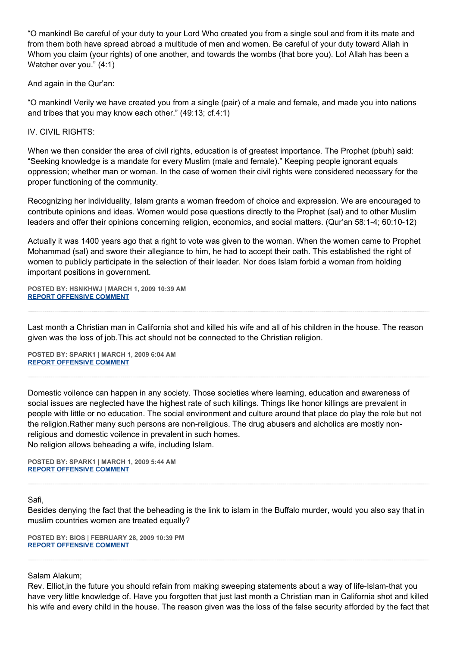"O mankind! Be careful of your duty to your Lord Who created you from a single soul and from it its mate and from them both have spread abroad a multitude of men and women. Be careful of your duty toward Allah in Whom you claim (your rights) of one another, and towards the wombs (that bore you). Lo! Allah has been a Watcher over you." (4:1)

And again in the Qur'an:

"O mankind! Verily we have created you from a single (pair) of a male and female, and made you into nations and tribes that you may know each other." (49:13; cf.4:1)

IV. CIVIL RIGHTS:

When we then consider the area of civil rights, education is of greatest importance. The Prophet (pbuh) said: "Seeking knowledge is a mandate for every Muslim (male and female)." Keeping people ignorant equals oppression; whether man or woman. In the case of women their civil rights were considered necessary for the proper functioning of the community.

Recognizing her individuality, Islam grants a woman freedom of choice and expression. We are encouraged to contribute opinions and ideas. Women would pose questions directly to the Prophet (sal) and to other Muslim leaders and offer their opinions concerning religion, economics, and social matters. (Qur'an 58:1-4; 60:10-12)

Actually it was 1400 years ago that a right to vote was given to the woman. When the women came to Prophet Mohammad (sal) and swore their allegiance to him, he had to accept their oath. This established the right of women to publicly participate in the selection of their leader. Nor does Islam forbid a woman from holding important positions in government.

**POSTED BY: HSNKHWJ | MARCH 1, 2009 10:39 AM [REPORT OFFENSIVE COMMENT](mailto:blogs@washingtonpost.com?subject=On%20Faith%20Panelists%20Blog%20%20%7C%20%20hsnkhwj%20%20%7C%20%20Wife-Beating,%20Wife-Beheading%20and%20the%20Qur)**

Last month a Christian man in California shot and killed his wife and all of his children in the house. The reason given was the loss of job.This act should not be connected to the Christian religion.

**POSTED BY: SPARK1 | MARCH 1, 2009 6:04 AM [REPORT OFFENSIVE COMMENT](mailto:blogs@washingtonpost.com?subject=On%20Faith%20Panelists%20Blog%20%20%7C%20%20SPARK1%20%20%7C%20%20Wife-Beating,%20Wife-Beheading%20and%20the%20Qur)**

Domestic voilence can happen in any society. Those societies where learning, education and awareness of social issues are neglected have the highest rate of such killings. Things like honor killings are prevalent in people with little or no education. The social environment and culture around that place do play the role but not the religion.Rather many such persons are non-religious. The drug abusers and alcholics are mostly nonreligious and domestic voilence in prevalent in such homes. No religion allows beheading a wife, including Islam.

**POSTED BY: SPARK1 | MARCH 1, 2009 5:44 AM [REPORT OFFENSIVE COMMENT](mailto:blogs@washingtonpost.com?subject=On%20Faith%20Panelists%20Blog%20%20%7C%20%20SPARK1%20%20%7C%20%20Wife-Beating,%20Wife-Beheading%20and%20the%20Qur)**

Safi,

Besides denying the fact that the beheading is the link to islam in the Buffalo murder, would you also say that in muslim countries women are treated equally?

**POSTED BY: BIOS | FEBRUARY 28, 2009 10:39 PM [REPORT OFFENSIVE COMMENT](mailto:blogs@washingtonpost.com?subject=On%20Faith%20Panelists%20Blog%20%20%7C%20%20Bios%20%20%7C%20%20Wife-Beating,%20Wife-Beheading%20and%20the%20Qur)**

Salam Alakum;

Rev. Elliot,in the future you should refain from making sweeping statements about a way of life-Islam-that you have very little knowledge of. Have you forgotten that just last month a Christian man in California shot and killed his wife and every child in the house. The reason given was the loss of the false security afforded by the fact that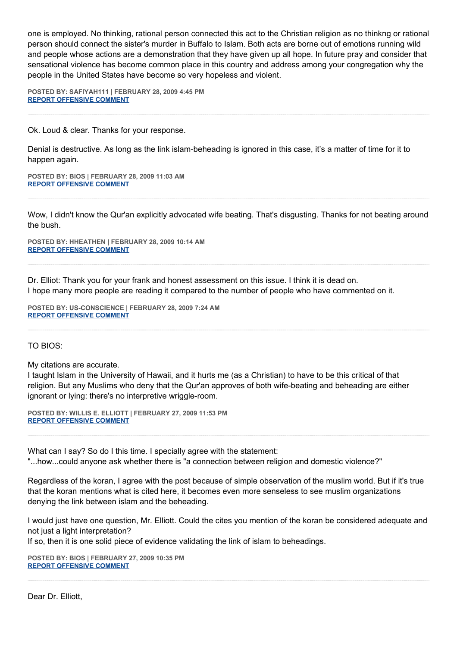one is employed. No thinking, rational person connected this act to the Christian religion as no thinkng or rational person should connect the sister's murder in Buffalo to Islam. Both acts are borne out of emotions running wild and people whose actions are a demonstration that they have given up all hope. In future pray and consider that sensational violence has become common place in this country and address among your congregation why the people in the United States have become so very hopeless and violent.

**POSTED BY: SAFIYAH111 | FEBRUARY 28, 2009 4:45 PM [REPORT OFFENSIVE COMMENT](mailto:blogs@washingtonpost.com?subject=On%20Faith%20Panelists%20Blog%20%20%7C%20%20safiyah111%20%20%7C%20%20Wife-Beating,%20Wife-Beheading%20and%20the%20Qur)**

Ok. Loud & clear. Thanks for your response.

Denial is destructive. As long as the link islam-beheading is ignored in this case, it's a matter of time for it to happen again.

**POSTED BY: BIOS | FEBRUARY 28, 2009 11:03 AM [REPORT OFFENSIVE COMMENT](mailto:blogs@washingtonpost.com?subject=On%20Faith%20Panelists%20Blog%20%20%7C%20%20Bios%20%20%7C%20%20Wife-Beating,%20Wife-Beheading%20and%20the%20Qur)**

Wow, I didn't know the Qur'an explicitly advocated wife beating. That's disgusting. Thanks for not beating around the bush.

**POSTED BY: HHEATHEN | FEBRUARY 28, 2009 10:14 AM [REPORT OFFENSIVE COMMENT](mailto:blogs@washingtonpost.com?subject=On%20Faith%20Panelists%20Blog%20%20%7C%20%20HHeathen%20%20%7C%20%20Wife-Beating,%20Wife-Beheading%20and%20the%20Qur)**

Dr. Elliot: Thank you for your frank and honest assessment on this issue. I think it is dead on. I hope many more people are reading it compared to the number of people who have commented on it.

**POSTED BY: US-CONSCIENCE | FEBRUARY 28, 2009 7:24 AM [REPORT OFFENSIVE COMMENT](mailto:blogs@washingtonpost.com?subject=On%20Faith%20Panelists%20Blog%20%20%7C%20%20US-conscience%20%20%7C%20%20Wife-Beating,%20Wife-Beheading%20and%20the%20Qur)**

TO BIOS:

My citations are accurate.

I taught Islam in the University of Hawaii, and it hurts me (as a Christian) to have to be this critical of that religion. But any Muslims who deny that the Qur'an approves of both wife-beating and beheading are either ignorant or lying: there's no interpretive wriggle-room.

**POSTED BY: WILLIS E. ELLIOTT | FEBRUARY 27, 2009 11:53 PM [REPORT OFFENSIVE COMMENT](mailto:blogs@washingtonpost.com?subject=On%20Faith%20Panelists%20Blog%20%20%7C%20%20Willis%20E.%20Elliott%20%20%7C%20%20Wife-Beating,%20Wife-Beheading%20and%20the%20Qur)**

What can I say? So do I this time. I specially agree with the statement: "...how...could anyone ask whether there is "a connection between religion and domestic violence?"

Regardless of the koran, I agree with the post because of simple observation of the muslim world. But if it's true that the koran mentions what is cited here, it becomes even more senseless to see muslim organizations denying the link between islam and the beheading.

I would just have one question, Mr. Elliott. Could the cites you mention of the koran be considered adequate and not just a light interpretation?

If so, then it is one solid piece of evidence validating the link of islam to beheadings.

**POSTED BY: BIOS | FEBRUARY 27, 2009 10:35 PM [REPORT OFFENSIVE COMMENT](mailto:blogs@washingtonpost.com?subject=On%20Faith%20Panelists%20Blog%20%20%7C%20%20Bios%20%20%7C%20%20Wife-Beating,%20Wife-Beheading%20and%20the%20Qur)**